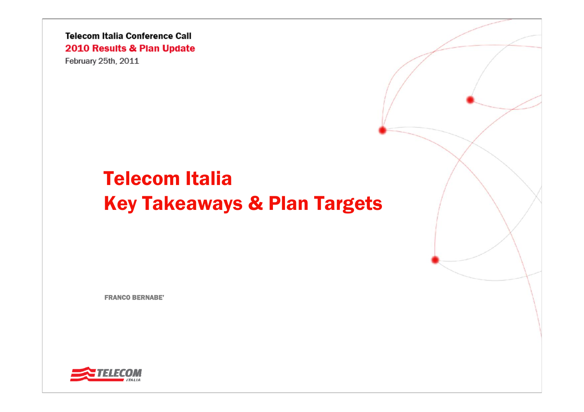**Telecom Italia Conference Call** 2010 Results & Plan Update February 25th, 2011

# Telecom Italia Key Takeaways & Plan Targets

FRANCO BERNABE'

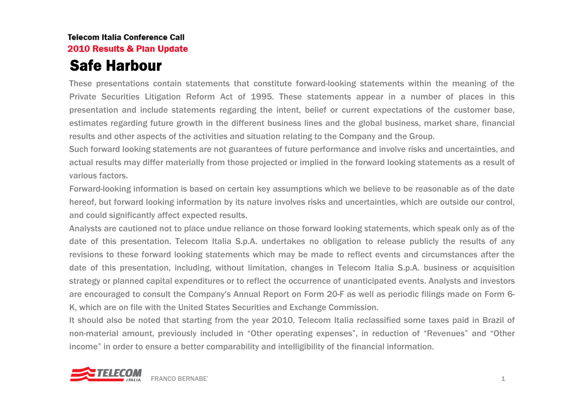#### **Telecom Italia Conference Call** 2010 Results & Plan Update Safe Harbour

These presentations contain statements that constitute forward-looking statements within the meaning of the Private Securities Litigation Reform Act of 1995. These statements appear in a number of places in this presentation and include statements regarding the intent, belief or current expectations of the customer base, estimates regarding future growth in the different business lines and the global business, market share, financial results and other aspects of the activities and situation relating to the Company and the Group.

Such forward looking statements are not guarantees of future performance and involve risks and uncertainties, and actual results may differ materially from those projected or implied in the forward looking statements as a result of various factors.

Forward-looking information is based on certain key assumptions which we believe to be reasonable as of the date hereof, but forward looking information by its nature involves risks and uncertainties, which are outside our control, and could significantly affect expected results.

Analysts are cautioned not to place undue reliance on those forward looking statements, which speak only as of the date of this presentation. Telecom Italia S.p.A. undertakes no obligation to release publicly the results of any revisions to these forward looking statements which may be made to reflect events and circumstances after the date of this presentation, including, without limitation, changes in Telecom Italia S.p.A. business or acquisition strategy or planned capital expenditures or to reflect the occurrence of unanticipated events. Analysts and investors are encouraged to consult the Company's Annual Report on Form 20-F as well as periodic filings made on Form 6- K, which are on file with the United States Securities and Exchange Commission.

It should also be noted that starting from the year 2010, Telecom Italia reclassified some taxes paid in Brazil of non-material amount, previously included in "Other operating expenses", in reduction of "Revenues" and "Other income" in order to ensure a better comparability and intelligibility of the financial information.

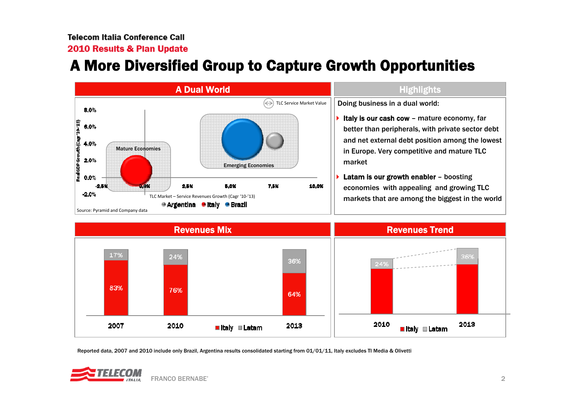2010 Results & Plan Update

### A More Diversified Group to Capture Growth Opportunities





Reported data, 2007 and 2010 include only Brazil, Argentina results consolidated starting from 01/01/11, Italy excludes TI Media & Olivetti

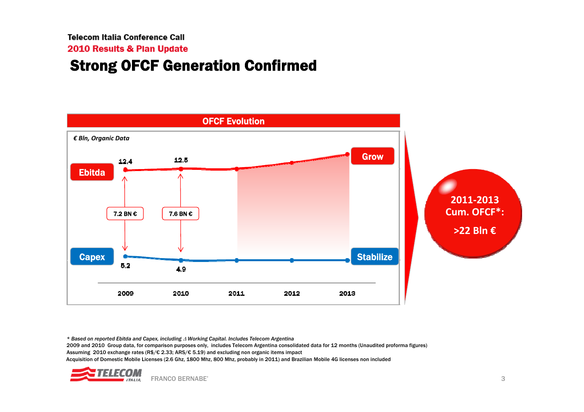**Telecom Italia Conference Call** 

2010 Results & Plan Update

#### Strong OFCF Generation Confirmed



*\* Based on reported Ebitda and Capex, including* Δ *Working Capital. Includes Telecom Argentina*  2009 and 2010 Group data, for comparison purposes only, includes Telecom Argentina consolidated data for 12 months (Unaudited proforma figures) Assuming 2010 exchange rates (R\$/€ 2.33; ARS/€ 5.19) and excluding non organic items impact Acquisition of Domestic Mobile Licenses (2.6 Ghz, 1800 Mhz, 800 Mhz, probably in 2011) and Brazilian Mobile 4G licenses non included

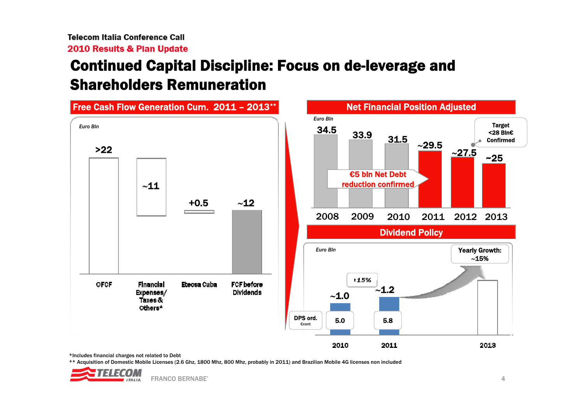## Continued Capital Discipline: Focus on de-leverage and Shareholders Remuneration



\*Includes financial charges not related to Debt

\*\* Acquisition of Domestic Mobile Licenses (2.6 Ghz, 1800 Mhz, 800 Mhz, probably in 2011) and Brazilian Mobile 4G licenses non included

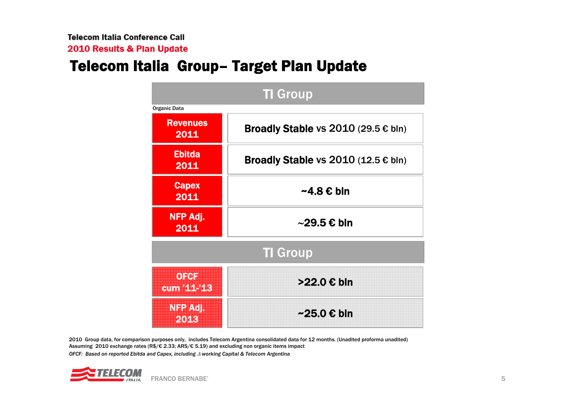### Telecom Italia Group– Target Plan Update

| <b>TI</b> Group         |                                                |  |
|-------------------------|------------------------------------------------|--|
| Organic Data            |                                                |  |
| <b>Revenues</b><br>2011 | Broadly Stable vs $2010$ (29.5 $\epsilon$ bln) |  |
| <b>Ebitda</b><br>2011   | Broadly Stable vs $2010$ (12.5 $\epsilon$ bln) |  |
| <b>Capex</b><br>2011    | $~\sim$ 4.8 € bln                              |  |
| NFP Adj.<br>2011        | $\sim$ 29.5 € bln                              |  |
| <b>TI Group</b>         |                                                |  |
| OFCH<br>cum 44-43       | >22.0 € bln                                    |  |
| NEP AJ I<br>2016        | $\sim$ 25.0 € bln                              |  |

2010 Group data, for comparison purposes only, includes Telecom Argentina consolidated data for 12 months. (Unadited proforma unadited) Assuming 2010 exchange rates (R\$/€ 2.33; ARS/€ 5.19) and excluding non organic items impact *OFCF: Based on reported Ebitda and Capex, including* Δ *working Capital & Telecom Argentina*